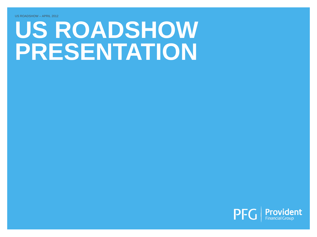US ROADSHOW – APRIL 2012

# **US ROADSHOW PRESENTATION**

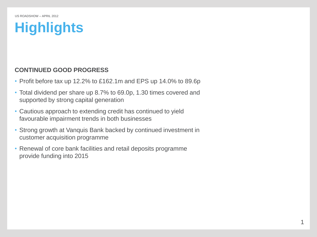# **Highlights**

#### **CONTINUED GOOD PROGRESS**

- Profit before tax up 12.2% to £162.1m and EPS up 14.0% to 89.6p
- Total dividend per share up 8.7% to 69.0p, 1.30 times covered and supported by strong capital generation
- Cautious approach to extending credit has continued to yield favourable impairment trends in both businesses
- Strong growth at Vanquis Bank backed by continued investment in customer acquisition programme
- Renewal of core bank facilities and retail deposits programme provide funding into 2015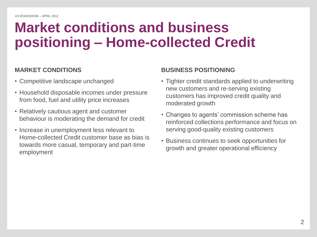#### **Market conditions and business positioning – Home-collected Credit**

#### **MARKET CONDITIONS**

- Competitive landscape unchanged
- Household disposable incomes under pressure from food, fuel and utility price increases
- Relatively cautious agent and customer behaviour is moderating the demand for credit
- Increase in unemployment less relevant to Home-collected Credit customer base as bias is towards more casual, temporary and part-time employment

#### **BUSINESS POSITIONING**

- Tighter credit standards applied to underwriting new customers and re-serving existing customers has improved credit quality and moderated growth
- Changes to agents' commission scheme has reinforced collections performance and focus on serving good-quality existing customers
- Business continues to seek opportunities for growth and greater operational efficiency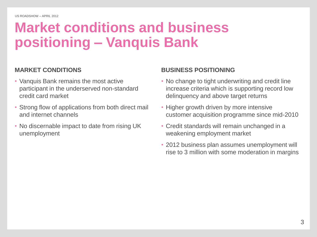#### **Market conditions and business positioning – Vanquis Bank**

#### **MARKET CONDITIONS**

- Vanquis Bank remains the most active participant in the underserved non-standard credit card market
- Strong flow of applications from both direct mail and internet channels
- No discernable impact to date from rising UK unemployment

#### **BUSINESS POSITIONING**

- No change to tight underwriting and credit line increase criteria which is supporting record low delinquency and above target returns
- Higher growth driven by more intensive customer acquisition programme since mid-2010
- Credit standards will remain unchanged in a weakening employment market
- 2012 business plan assumes unemployment will rise to 3 million with some moderation in margins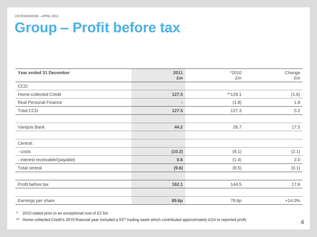#### **Group – Profit before tax**

| Year ended 31 December          | 2011           | *2010     | Change   |
|---------------------------------|----------------|-----------|----------|
|                                 | £m             | £m        | £m       |
| CCD:                            |                |           |          |
| Home-collected Credit           | 127.5          | $**129.1$ | (1.6)    |
| <b>Real Personal Finance</b>    | $\blacksquare$ | (1.8)     | 1.8      |
| <b>Total CCD</b>                | 127.5          | 127.3     | 0.2      |
|                                 |                |           |          |
| Vanquis Bank                    | 44.2           | 26.7      | 17.5     |
|                                 |                |           |          |
| Central:                        |                |           |          |
| - costs                         | (10.2)         | (8.1)     | (2.1)    |
| - interest receivable/(payable) | 0.6            | (1.4)     | 2.0      |
| Total central                   | (9.6)          | (9.5)     | (0.1)    |
|                                 |                |           |          |
| Profit before tax               | 162.1          | 144.5     | 17.6     |
| Earnings per share              | 89.6p          | 78.6p     | $+14.0%$ |

2010 stated prior to an exceptional cost of £2.5m

\*\* Home-collected Credit's 2010 financial year included a 53<sup>rd</sup> trading week which contributed approximately £2m to reported profit 4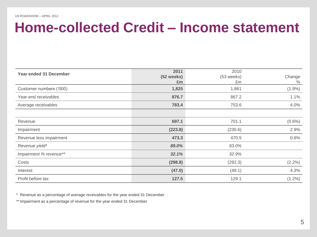#### **Home-collected Credit – Income statement**

| Year ended 31 December  | 2011<br>(52 weeks)<br>£m | 2010<br>(53 weeks)<br>£m | Change<br>$\%$ |
|-------------------------|--------------------------|--------------------------|----------------|
| Customer numbers ('000) | 1,825                    | 1,861                    | $(1.9\%)$      |
| Year-end receivables    | 876.7                    | 867.2                    | 1.1%           |
| Average receivables     | 783.4                    | 753.6                    | 4.0%           |
|                         |                          |                          |                |
| Revenue                 | 697.1                    | 701.1                    | $(0.6\%)$      |
| Impairment              | (223.8)                  | (230.6)                  | 2.9%           |
| Revenue less impairment | 473.3                    | 470.5                    | 0.6%           |
| Revenue yield*          | 89.0%                    | 93.0%                    |                |
| Impairment % revenue**  | 32.1%                    | 32.9%                    |                |
| Costs                   | (298.8)                  | (292.3)                  | $(2.2\%)$      |
| Interest                | (47.0)                   | (49.1)                   | 4.3%           |
| Profit before tax       | 127.5                    | 129.1                    | $(1.2\%)$      |

\* Revenue as a percentage of average receivables for the year ended 31 December

\*\* Impairment as a percentage of revenue for the year ended 31 December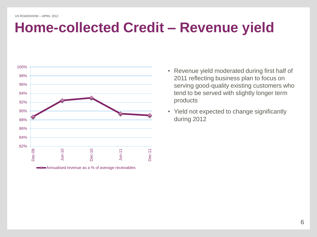#### **Home-collected Credit – Revenue yield**



Annualised revenue as a % of average receivables

- Revenue yield moderated during first half of 2011 reflecting business plan to focus on serving good-quality existing customers who tend to be served with slightly longer term products
- Yield not expected to change significantly during 2012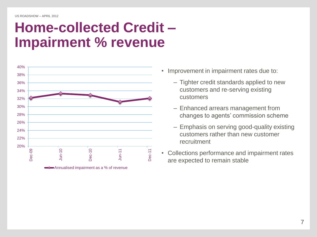#### **Home-collected Credit – Impairment % revenue**



- Improvement in impairment rates due to:
	- Tighter credit standards applied to new customers and re-serving existing customers
	- Enhanced arrears management from changes to agents' commission scheme
	- Emphasis on serving good-quality existing customers rather than new customer recruitment
- Collections performance and impairment rates are expected to remain stable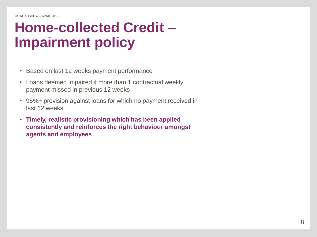#### **Home-collected Credit – Impairment policy**

- Based on last 12 weeks payment performance
- Loans deemed impaired if more than 1 contractual weekly payment missed in previous 12 weeks
- 95%+ provision against loans for which no payment received in last 12 weeks
- **Timely, realistic provisioning which has been applied consistently and reinforces the right behaviour amongst agents and employees**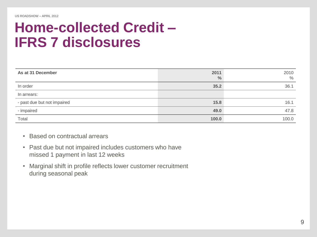#### **Home-collected Credit – IFRS 7 disclosures**

| As at 31 December           | 2011<br>$\frac{0}{0}$ | 2010<br>$\%$ |
|-----------------------------|-----------------------|--------------|
| In order                    | 35.2                  | 36.1         |
| In arrears:                 |                       |              |
| - past due but not impaired | 15.8                  | 16.1         |
| - impaired                  | 49.0                  | 47.8         |
| Total                       | 100.0                 | 100.0        |

- Based on contractual arrears
- Past due but not impaired includes customers who have missed 1 payment in last 12 weeks
- Marginal shift in profile reflects lower customer recruitment during seasonal peak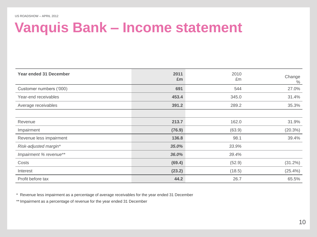#### **Vanquis Bank – Income statement**

| Year ended 31 December  | 2011<br>£m | 2010<br>£m | Change<br>$\%$ |
|-------------------------|------------|------------|----------------|
| Customer numbers ('000) | 691        | 544        | 27.0%          |
| Year-end receivables    | 453.4      | 345.0      | 31.4%          |
| Average receivables     | 391.2      | 289.2      | 35.3%          |
|                         |            |            |                |
| Revenue                 | 213.7      | 162.0      | 31.9%          |
| Impairment              | (76.9)     | (63.9)     | (20.3%)        |
| Revenue less impairment | 136.8      | 98.1       | 39.4%          |
| Risk-adjusted margin*   | 35.0%      | 33.9%      |                |
| Impairment % revenue**  | 36.0%      | 39.4%      |                |
| Costs                   | (69.4)     | (52.9)     | $(31.2\%)$     |
| Interest                | (23.2)     | (18.5)     | $(25.4\%)$     |
| Profit before tax       | 44.2       | 26.7       | 65.5%          |

\* Revenue less impairment as a percentage of average receivables for the year ended 31 December

\*\* Impairment as a percentage of revenue for the year ended 31 December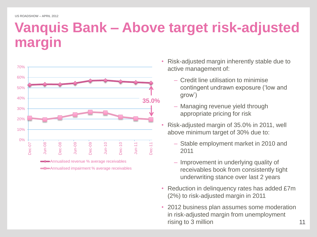#### **Vanquis Bank – Above target risk-adjusted margin**



- Risk-adjusted margin inherently stable due to active management of:
	- Credit line utilisation to minimise contingent undrawn exposure ('low and grow')
	- Managing revenue yield through appropriate pricing for risk
- Risk-adjusted margin of 35.0% in 2011, well above minimum target of 30% due to:
	- Stable employment market in 2010 and 2011
	- Improvement in underlying quality of receivables book from consistently tight underwriting stance over last 2 years
- Reduction in delinquency rates has added £7m (2%) to risk-adjusted margin in 2011
- 2012 business plan assumes some moderation in risk-adjusted margin from unemployment rising to 3 million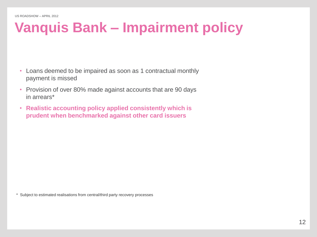### **Vanquis Bank – Impairment policy**

- Loans deemed to be impaired as soon as 1 contractual monthly payment is missed
- Provision of over 80% made against accounts that are 90 days in arrears\*
- **Realistic accounting policy applied consistently which is prudent when benchmarked against other card issuers**

\* Subject to estimated realisations from central/third party recovery processes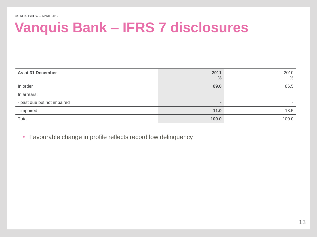### **Vanquis Bank – IFRS 7 disclosures**

| As at 31 December           | 2011<br>$\frac{0}{0}$ | 2010<br>$\frac{0}{0}$ |
|-----------------------------|-----------------------|-----------------------|
| In order                    | 89.0                  | 86.5                  |
| In arrears:                 |                       |                       |
| - past due but not impaired |                       |                       |
| - impaired                  | 11.0                  | 13.5                  |
| Total                       | 100.0                 | 100.0                 |

• Favourable change in profile reflects record low delinquency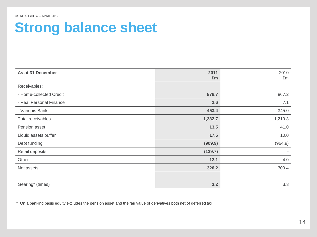#### **Strong balance sheet**

| As at 31 December       | 2011<br>£m | 2010<br>£m |
|-------------------------|------------|------------|
| Receivables:            |            |            |
|                         |            |            |
| - Home-collected Credit | 876.7      | 867.2      |
| - Real Personal Finance | 2.6        | 7.1        |
| - Vanquis Bank          | 453.4      | 345.0      |
| Total receivables       | 1,332.7    | 1,219.3    |
| Pension asset           | 13.5       | 41.0       |
| Liquid assets buffer    | 17.5       | 10.0       |
| Debt funding            | (909.9)    | (964.9)    |
| Retail deposits         | (139.7)    |            |
| Other                   | 12.1       | 4.0        |
| Net assets              | 326.2      | 309.4      |
|                         |            |            |
| Gearing* (times)        | 3.2        | 3.3        |

\* On a banking basis equity excludes the pension asset and the fair value of derivatives both net of deferred tax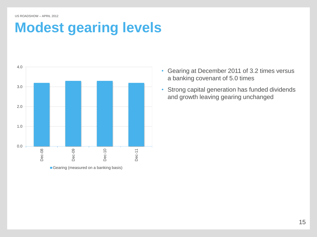#### **Modest gearing levels**



Gearing (measured on a banking basis)

- Gearing at December 2011 of 3.2 times versus a banking covenant of 5.0 times
- Strong capital generation has funded dividends and growth leaving gearing unchanged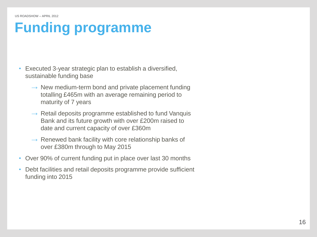### **Funding programme**

- Executed 3-year strategic plan to establish a diversified, sustainable funding base
	- $\rightarrow$  New medium-term bond and private placement funding totalling £465m with an average remaining period to maturity of 7 years
	- $\rightarrow$  Retail deposits programme established to fund Vanquis Bank and its future growth with over £200m raised to date and current capacity of over £360m
	- $\rightarrow$  Renewed bank facility with core relationship banks of over £380m through to May 2015
- Over 90% of current funding put in place over last 30 months
- Debt facilities and retail deposits programme provide sufficient funding into 2015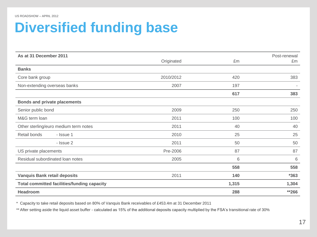#### **Diversified funding base**

| As at 31 December 2011                             |            |       | Post-renewal |
|----------------------------------------------------|------------|-------|--------------|
|                                                    | Originated | £m    | £m           |
| <b>Banks</b>                                       |            |       |              |
| Core bank group                                    | 2010/2012  | 420   | 383          |
| Non-extending overseas banks                       | 2007       | 197   |              |
|                                                    |            | 617   | 383          |
| <b>Bonds and private placements</b>                |            |       |              |
| Senior public bond                                 | 2009       | 250   | 250          |
| M&G term loan                                      | 2011       | 100   | 100          |
| Other sterling/euro medium term notes              | 2011       | 40    | 40           |
| Retail bonds<br>- Issue 1                          | 2010       | 25    | 25           |
| - Issue 2                                          | 2011       | 50    | 50           |
| US private placements                              | Pre-2006   | 87    | 87           |
| Residual subordinated loan notes                   | 2005       | 6     | 6            |
|                                                    |            | 558   | 558          |
| <b>Vanquis Bank retail deposits</b>                | 2011       | 140   | $*363$       |
| <b>Total committed facilities/funding capacity</b> |            | 1,315 | 1,304        |
| <b>Headroom</b>                                    |            | 288   | **266        |

\* Capacity to take retail deposits based on 80% of Vanquis Bank receivables of £453.4m at 31 December 2011

\*\* After setting aside the liquid asset buffer - calculated as 15% of the additional deposits capacity multiplied by the FSA's transitional rate of 30%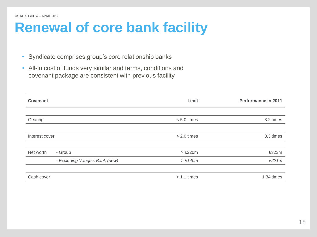#### **Renewal of core bank facility**

- Syndicate comprises group's core relationship banks
- All-in cost of funds very similar and terms, conditions and covenant package are consistent with previous facility

| Covenant                       | Limit         | <b>Performance in 2011</b> |
|--------------------------------|---------------|----------------------------|
|                                |               |                            |
| Gearing                        | $< 5.0$ times | 3.2 times                  |
|                                |               |                            |
| Interest cover                 | $> 2.0$ times | 3.3 times                  |
|                                |               |                            |
| Net worth<br>- Group           | $>$ £220 $m$  | £323m                      |
| - Excluding Vanquis Bank (new) | >E140m        | £221m                      |
|                                |               |                            |
| Cash cover                     | $> 1.1$ times | 1.34 times                 |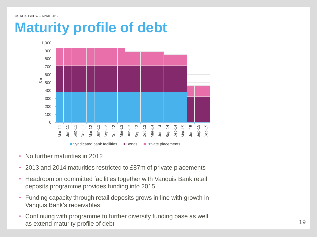#### US ROADSHOW – APRIL 2012

#### **Maturity profile of debt**



- No further maturities in 2012
- 2013 and 2014 maturities restricted to £87m of private placements
- Headroom on committed facilities together with Vanquis Bank retail deposits programme provides funding into 2015
- Funding capacity through retail deposits grows in line with growth in Vanquis Bank's receivables
- Continuing with programme to further diversify funding base as well as extend maturity profile of debt 19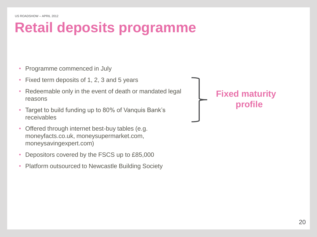#### **Retail deposits programme**

- Programme commenced in July
- Fixed term deposits of 1, 2, 3 and 5 years
- Redeemable only in the event of death or mandated legal reasons
- Target to build funding up to 80% of Vanquis Bank's receivables
- Offered through internet best-buy tables (e.g. moneyfacts.co.uk, moneysupermarket.com, moneysavingexpert.com)
- Depositors covered by the FSCS up to £85,000
- Platform outsourced to Newcastle Building Society

**Fixed maturity profile**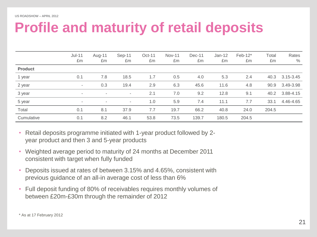#### US ROADSHOW – APRIL 2012

### **Profile and maturity of retail deposits**

|                | $Jul-11$<br>£m | Aug-11<br>£m             | Sep-11<br>£m | $Oct-11$<br>£m | <b>Nov-11</b><br>£m | Dec-11<br>£m | $Jan-12$<br>£m | $Feb-12*$<br>£m | Total<br>£m | Rates<br>$\%$ |
|----------------|----------------|--------------------------|--------------|----------------|---------------------|--------------|----------------|-----------------|-------------|---------------|
| <b>Product</b> |                |                          |              |                |                     |              |                |                 |             |               |
| 1 year         | 0.1            | 7.8                      | 18.5         | 1.7            | 0.5                 | 4.0          | 5.3            | 2.4             | 40.3        | 3.15-3.45     |
| 2 year         | $\sim$         | 0.3                      | 19.4         | 2.9            | 6.3                 | 45.6         | 11.6           | 4.8             | 90.9        | 3.49-3.98     |
| 3 year         | ۰.             | $\overline{\phantom{a}}$ | $\sim$       | 2.1            | 7.0                 | 9.2          | 12.8           | 9.1             | 40.2        | 3.88-4.15     |
| 5 year         | ۰.             | $\sim$                   | $\sim$       | 1.0            | 5.9                 | 7.4          | 11.1           | 7.7             | 33.1        | 4.46-4.65     |
| Total          | 0.1            | 8.1                      | 37.9         | 7.7            | 19.7                | 66.2         | 40.8           | 24.0            | 204.5       |               |
| Cumulative     | 0.1            | 8.2                      | 46.1         | 53.8           | 73.5                | 139.7        | 180.5          | 204.5           |             |               |

- Retail deposits programme initiated with 1-year product followed by 2 year product and then 3 and 5-year products
- Weighted average period to maturity of 24 months at December 2011 consistent with target when fully funded
- Deposits issued at rates of between 3.15% and 4.65%, consistent with previous guidance of an all-in average cost of less than 6%
- Full deposit funding of 80% of receivables requires monthly volumes of between £20m-£30m through the remainder of 2012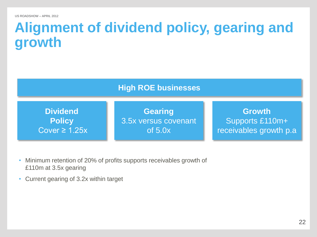#### **Alignment of dividend policy, gearing and growth**



- Minimum retention of 20% of profits supports receivables growth of £110m at 3.5x gearing
- Current gearing of 3.2x within target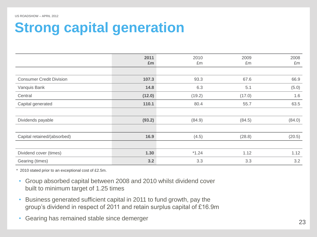# **Strong capital generation**

|                                 | 2011<br>£m | 2010<br>£m | 2009<br>£m | 2008<br>£m |
|---------------------------------|------------|------------|------------|------------|
|                                 |            |            |            |            |
| <b>Consumer Credit Division</b> | 107.3      | 93.3       | 67.6       | 66.9       |
| Vanquis Bank                    | 14.8       | 6.3        | 5.1        | (5.0)      |
| Central                         | (12.0)     | (19.2)     | (17.0)     | 1.6        |
| Capital generated               | 110.1      | 80.4       | 55.7       | 63.5       |
|                                 |            |            |            |            |
| Dividends payable               | (93.2)     | (84.9)     | (84.5)     | (84.0)     |
|                                 |            |            |            |            |
| Capital retained/(absorbed)     | 16.9       | (4.5)      | (28.8)     | (20.5)     |
|                                 |            |            |            |            |
| Dividend cover (times)          | 1.30       | $*1.24$    | 1.12       | 1.12       |
| Gearing (times)                 | 3.2        | 3.3        | 3.3        | 3.2        |

\* 2010 stated prior to an exceptional cost of £2.5m.

- Group absorbed capital between 2008 and 2010 whilst dividend cover built to minimum target of 1.25 times
- Business generated sufficient capital in 2011 to fund growth, pay the group's dividend in respect of 2011 and retain surplus capital of £16.9m
- Gearing has remained stable since demerger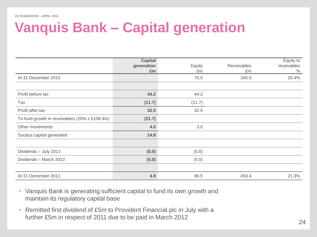### **Vanquis Bank – Capital generation**

|                                               | <b>Capital</b><br>generation | Equity     | Receivables | Equity to<br>receivables |
|-----------------------------------------------|------------------------------|------------|-------------|--------------------------|
| At 31 December 2010                           | £m                           | £m<br>70.5 | £m<br>345.0 | $\%$<br>20.4%            |
|                                               |                              |            |             |                          |
| Profit before tax                             | 44.2                         | 44.2       |             |                          |
| Tax                                           | (11.7)                       | (11.7)     |             |                          |
| Profit after tax                              | 32.5                         | 32.5       |             |                          |
| To fund growth in receivables (20% x £108.4m) | (21.7)                       |            |             |                          |
| Other movements                               | 4.0                          | 3.5        |             |                          |
| Surplus capital generated                     | 14.8                         |            |             |                          |
|                                               |                              |            |             |                          |
| Dividends - July 2011                         | (5.0)                        | (5.0)      |             |                          |
| Dividends - March 2012                        | (5.0)                        | (5.0)      |             |                          |
|                                               |                              |            |             |                          |
| At 31 December 2011                           | 4.8                          | 96.5       | 453.4       | 21.3%                    |

- Vanquis Bank is generating sufficient capital to fund its own growth and maintain its regulatory capital base
- Remitted first dividend of £5m to Provident Financial plc in July with a further £5m in respect of 2011 due to be paid in March 2012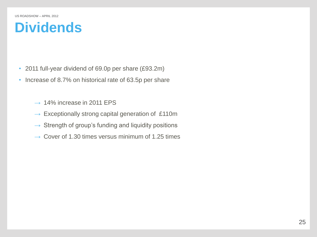#### **Dividends**

- 2011 full-year dividend of 69.0p per share (£93.2m)
- Increase of 8.7% on historical rate of 63.5p per share
	- $\rightarrow$  14% increase in 2011 EPS
	- $\rightarrow$  Exceptionally strong capital generation of £110m
	- $\rightarrow$  Strength of group's funding and liquidity positions
	- $\rightarrow$  Cover of 1.30 times versus minimum of 1.25 times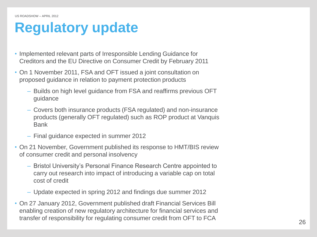### **Regulatory update**

- Implemented relevant parts of Irresponsible Lending Guidance for Creditors and the EU Directive on Consumer Credit by February 2011
- On 1 November 2011, FSA and OFT issued a joint consultation on proposed guidance in relation to payment protection products
	- Builds on high level guidance from FSA and reaffirms previous OFT guidance
	- Covers both insurance products (FSA regulated) and non-insurance products (generally OFT regulated) such as ROP product at Vanquis Bank
	- Final guidance expected in summer 2012
- On 21 November, Government published its response to HMT/BIS review of consumer credit and personal insolvency
	- Bristol University's Personal Finance Research Centre appointed to carry out research into impact of introducing a variable cap on total cost of credit
	- Update expected in spring 2012 and findings due summer 2012
- On 27 January 2012, Government published draft Financial Services Bill enabling creation of new regulatory architecture for financial services and transfer of responsibility for regulating consumer credit from OFT to FCA <sup>26</sup>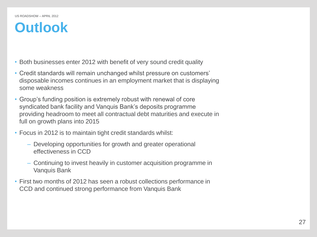#### **Outlook**

- Both businesses enter 2012 with benefit of very sound credit quality
- Credit standards will remain unchanged whilst pressure on customers' disposable incomes continues in an employment market that is displaying some weakness
- Group's funding position is extremely robust with renewal of core syndicated bank facility and Vanquis Bank's deposits programme providing headroom to meet all contractual debt maturities and execute in full on growth plans into 2015
- Focus in 2012 is to maintain tight credit standards whilst:
	- Developing opportunities for growth and greater operational effectiveness in CCD
	- Continuing to invest heavily in customer acquisition programme in Vanquis Bank
- First two months of 2012 has seen a robust collections performance in CCD and continued strong performance from Vanquis Bank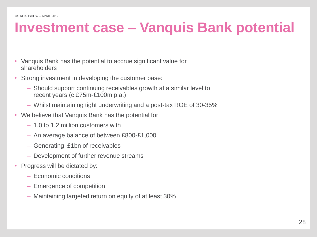#### **Investment case – Vanquis Bank potential**

- Vanquis Bank has the potential to accrue significant value for shareholders
- Strong investment in developing the customer base:
	- Should support continuing receivables growth at a similar level to recent years (c.£75m-£100m p.a.)
	- Whilst maintaining tight underwriting and a post-tax ROE of 30-35%
- We believe that Vanquis Bank has the potential for:
	- 1.0 to 1.2 million customers with
	- An average balance of between £800-£1,000
	- Generating £1bn of receivables
	- Development of further revenue streams
- Progress will be dictated by:
	- Economic conditions
	- Emergence of competition
	- Maintaining targeted return on equity of at least 30%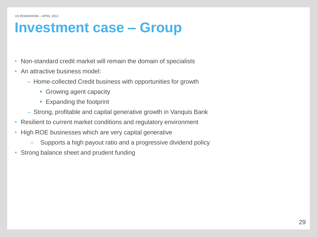#### **Investment case – Group**

- Non-standard credit market will remain the domain of specialists
- An attractive business model:
	- Home-collected Credit business with opportunities for growth
		- **Growing agent capacity**
		- **Expanding the footprint**
	- Strong, profitable and capital generative growth in Vanquis Bank
- Resilient to current market conditions and regulatory environment
- High ROE businesses which are very capital generative
	- Supports a high payout ratio and a progressive dividend policy
- Strong balance sheet and prudent funding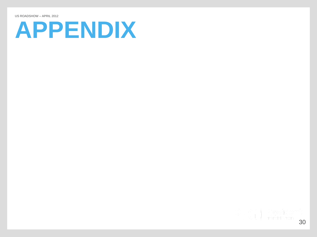US ROADSHOW – APRIL 2012

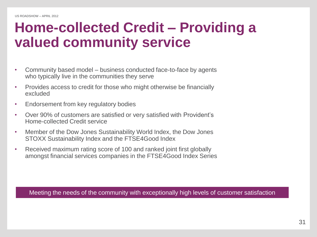#### **Home-collected Credit – Providing a valued community service**

- Community based model business conducted face-to-face by agents who typically live in the communities they serve
- Provides access to credit for those who might otherwise be financially excluded
- Endorsement from key regulatory bodies
- Over 90% of customers are satisfied or very satisfied with Provident's Home-collected Credit service
- Member of the Dow Jones Sustainability World Index, the Dow Jones STOXX Sustainability Index and the FTSE4Good Index
- Received maximum rating score of 100 and ranked joint first globally amongst financial services companies in the FTSE4Good Index Series

Meeting the needs of the community with exceptionally high levels of customer satisfaction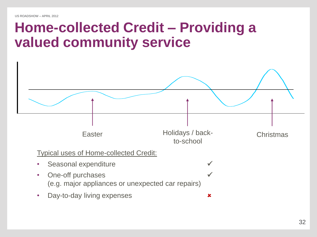#### **Home-collected Credit – Providing a valued community service**



- One-off purchases (e.g. major appliances or unexpected car repairs)
- Day-to-day living expenses **x**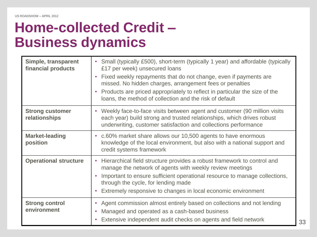#### **Home-collected Credit – Business dynamics**

| Simple, transparent<br>financial products | • Small (typically £500), short-term (typically 1 year) and affordable (typically<br>£17 per week) unsecured loans<br>Fixed weekly repayments that do not change, even if payments are<br>$\bullet$<br>missed. No hidden charges, arrangement fees or penalties<br>Products are priced appropriately to reflect in particular the size of the<br>$\bullet$<br>loans, the method of collection and the risk of default |
|-------------------------------------------|-----------------------------------------------------------------------------------------------------------------------------------------------------------------------------------------------------------------------------------------------------------------------------------------------------------------------------------------------------------------------------------------------------------------------|
| <b>Strong customer</b><br>relationships   | • Weekly face-to-face visits between agent and customer (90 million visits<br>each year) build strong and trusted relationships, which drives robust<br>underwriting, customer satisfaction and collections performance                                                                                                                                                                                               |
| <b>Market-leading</b><br>position         | • c.60% market share allows our 10,500 agents to have enormous<br>knowledge of the local environment, but also with a national support and<br>credit systems framework                                                                                                                                                                                                                                                |
| <b>Operational structure</b>              | Hierarchical field structure provides a robust framework to control and<br>$\bullet$<br>manage the network of agents with weekly review meetings<br>Important to ensure sufficient operational resource to manage collections,<br>$\bullet$<br>through the cycle, for lending made<br>Extremely responsive to changes in local economic environment                                                                   |
| <b>Strong control</b><br>environment      | Agent commission almost entirely based on collections and not lending<br>Managed and operated as a cash-based business<br>٠<br>Extensive independent audit checks on agents and field network<br>$\bullet$                                                                                                                                                                                                            |

33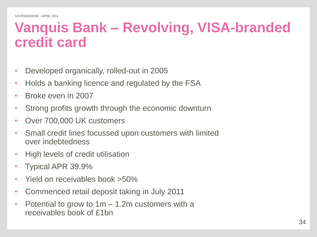#### **Vanquis Bank – Revolving, VISA-branded credit card**

- Developed organically, rolled-out in 2005
- Holds a banking licence and regulated by the FSA
- Broke even in 2007
- Strong profits growth through the economic downturn
- Over 700,000 UK customers
- Small credit lines focussed upon customers with limited over indebtedness
- High levels of credit utilisation
- Typical APR 39.9%
- Yield on receivables book >50%
- Commenced retail deposit taking in July 2011
- Potential to grow to 1m 1.2m customers with a receivables book of £1bn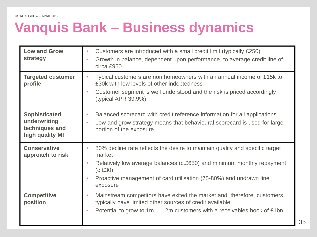### **Vanquis Bank – Business dynamics**

| <b>Low and Grow</b><br>strategy                                           | Customers are introduced with a small credit limit (typically £250)<br>$\bullet$<br>Growth in balance, dependent upon performance, to average credit line of<br>$\bullet$<br>circa £950                                                                                                              |
|---------------------------------------------------------------------------|------------------------------------------------------------------------------------------------------------------------------------------------------------------------------------------------------------------------------------------------------------------------------------------------------|
| <b>Targeted customer</b><br>profile                                       | Typical customers are non homeowners with an annual income of £15k to<br>$\bullet$<br>£30k with low levels of other indebtedness<br>Customer segment is well understood and the risk is priced accordingly<br>$\bullet$<br>(typical APR $39.9\%$ )                                                   |
| <b>Sophisticated</b><br>underwriting<br>techniques and<br>high quality MI | Balanced scorecard with credit reference information for all applications<br>$\bullet$<br>Low and grow strategy means that behavioural scorecard is used for large<br>$\bullet$<br>portion of the exposure                                                                                           |
| <b>Conservative</b><br>approach to risk                                   | 80% decline rate reflects the desire to maintain quality and specific target<br>$\bullet$<br>market<br>Relatively low average balances (c.£650) and minimum monthly repayment<br>$\bullet$<br>(c.E30)<br>Proactive management of card utilisation (75-80%) and undrawn line<br>$\bullet$<br>exposure |
| <b>Competitive</b><br>position                                            | Mainstream competitors have exited the market and, therefore, customers<br>$\bullet$<br>typically have limited other sources of credit available<br>Potential to grow to $1m - 1.2m$ customers with a receivables book of £1bn<br>$\bullet$                                                          |